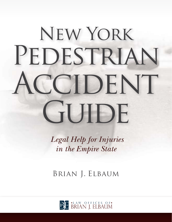# New York PEDESTRIAN **CCIDENT** GUIDE

 *Legal Help for Injuries in the Empire State*

Brian J. Elbaum

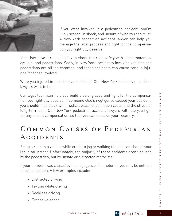

If you were involved in a pedestrian accident, you're likely scared, in shock, and unsure of who you can trust. A New York pedestrian accident lawyer can help you manage the legal process and fight for the compensation you rightfully deserve.

Motorists have a responsibility to share the road safely with other motorists, cyclists, and pedestrians. Sadly, in New York, accidents involving vehicles and pedestrians are all too common, and these accidents can cause serious injuries for those involved.

Were you injured in a pedestrian accident? Our New York pedestrian accident lawyers want to help.

Our legal team can help you build a strong case and fight for the compensation you rightfully deserve. If someone else's negligence caused your accident, you shouldn't be stuck with medical bills, rehabilitation costs, and the stress of long-term pain. Our New York pedestrian accident lawyers will help you fight for any and all compensation, so that you can focus on your recovery.

# COMMON CAUSES OF PEDESTRIAN **ACCIDENTS**

Being struck by a vehicle while out for a jog or walking the dog can change your life in an instant. Unfortunately, the majority of these accidents aren't caused by the pedestrian, but by unsafe or distracted motorists.

If your accident was caused by the negligence of a motorist, you may be entitled to compensation. A few examples include:

- » Distracted driving
- » Texting while driving
- » Reckless driving
- » Excessive speed

 $\overline{Z}$ 

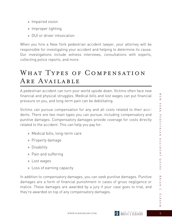- » Impaired vision
- » Improper lighting
- » DUI or driver intoxication

When you hire a New York pedestrian accident lawyer, your attorney will be responsible for investigating your accident and helping to determine its cause. Our investigations include witness interviews, consultations with experts, collecting police reports, and more.

## WHAT TYPES OF COMPENSATION Are Available

A pedestrian accident can turn your world upside down. Victims often face new financial and physical struggles. Medical bills and lost wages can put financial pressure on you, and long-term pain can be debilitating.

Victims can pursue compensation for any and all costs related to their accidents. There are two main types you can pursue, including compensatory and punitive damages. Compensatory damages provide coverage for costs directly related to the accident. This can help you pay for:

- » Medical bills, long-term care
- » Property damage
- » Disability
- » Pain and suffering
- » Lost wages
- » Loss of earning capacity

In addition to compensatory damages, you can seek punitive damages. Punitive damages are a form of financial punishment in cases of gross negligence or malice. These damages are awarded by a jury if your case goes to trial, and they're awarded on top of any compensatory damages.



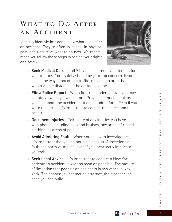## WHAT TO DO AFTER an Accident

Most accident victims don't know what to do after an accident. They're often in shock, in physical pain, and unsure of what to do next. We recommend you follow these steps to protect your rights and safety:



- » Seek Medical Care Call 911 and seek medical attention for your injuries. Your safety should be your top concern. If you are in the way of oncoming traffic, move to an area that's within visible distance of the accident scene.
- » File a Police Report When first responders arrive, you may be interviewed by investigators. Provide as much detail as you can about the accident, but do not admit fault. Even if you were uninjured, it's important to contact the police and file a report.
- » Document Injuries Take note of any injuries you have with photos, including cuts and bruises, any areas of ripped clothing, or areas of pain.
- » Avoid Admitting Fault When you talk with investigators, it's important that you do not discuss fault. Admissions of fault can harm your case, even if you incorrectly implicate yourself.
- » Seek Legal Advice It's important to contact a New York pedestrian accident lawyer as soon as possible. The statute of limitations for pedestrian accidents is two years in New York. The sooner you contact an attorney, the stronger the case you can build.

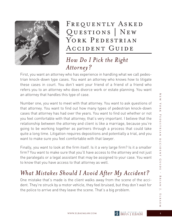

FREQUENTLY ASKED Questions | New YORK PEDESTRIAN Accident Guide

#### *How Do I Pick the Right Attorney?*

First, you want an attorney who has experience in handling what we call pedestrian knock-down type cases. You want an attorney who knows how to litigate these cases in court. You don't want your friend of a friend of a friend who refers you to an attorney who does divorce work or estate planning. You want an attorney that handles this type of case.

Number one, you want to meet with that attorney. You want to ask questions of that attorney. You want to find out how many types of pedestrian knock-down cases that attorney has had over the years. You want to find out whether or not you feel comfortable with that attorney; that's very important. I believe that the relationship between the attorney and client is like a marriage, because you're going to be working together as partners through a process that could take quite a long time. Litigation requires depositions and potentially a trial, and you want to make sure you feel comfortable with that lawyer.

Finally, you want to look at the firm itself. Is it a very large firm? Is it a smaller firm? You want to make sure that you'll have access to the attorney and not just the paralegals or a legal assistant that may be assigned to your case. You want to know that you have access to that attorney as well.

## *What Mistakes Should I Avoid After My Accident?*

One mistake that's made is the client walks away from the scene of the accident. They're struck by a motor vehicle, they feel bruised, but they don't wait for the police to arrive and they leave the scene. That's a big problem.

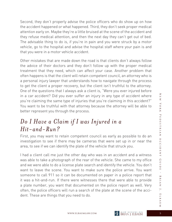Second, they don't properly advise the police officers who do show up on how the accident happened or what happened. Third, they don't seek proper medical attention early on. Maybe they're a little bruised at the scene of the accident and they refuse medical attention, and then the next day they can't get out of bed. The advisable thing to do is, if you're in pain and you were struck by a motor vehicle, go to the hospital and advise the hospital staff where your pain is and that you were in a motor vehicle accident.

Other mistakes that are made down the road is that clients don't always follow the advice of their doctors and they don't follow up with the proper medical treatment that they need, which can affect your case. Another problem that often happens is that the client will retain competent council, an attorney who is a personal injury lawyer that understands how to navigate through the process to get the client a proper recovery, but the client isn't truthful to the attorney. One of the questions that I always ask a client is, "Were you ever injured before in a car accident? Did you ever suffer an injury in any type of accident where you're claiming the same type of injuries that you're claiming in this accident?" You want to be truthful with that attorney because the attorney will be able to better represent you through the process.

#### *Do I Have a Claim if I was Injured in a Hit-and-Run?*

First, you may want to retain competent council as early as possible to do an investigation to see if there may be cameras that were set up in or near the area, to see if we can identify the plate of the vehicle that struck you.

I had a client call me just the other day who was in an accident and a witness was able to take a photograph of the rear of the vehicle. She came to my office and we were able to do a license plate search and identify the vehicle. You don't want to leave the scene. You want to make sure the police arrive. You want someone to call 911 so it can be documented on paper in a police report that it was a hit-and-run. If there were witnesses there that were able to provide a plate number, you want that documented on the police report as well. Very often, the police officers will run a search of the plate at the scene of the accident. These are things that you need to do.

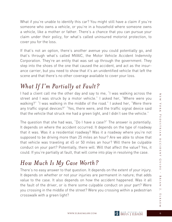What if you're unable to identify this car? You might still have a claim if you're someone who owns a vehicle, or you're in a household where someone owns a vehicle, like a mother or father. There's a chance that you can pursue your claim under their policy, for what's called uninsured motorist protection, to cover you for the loss.

If that's not an option, there's another avenue you could potentially go, and that's through what's called MVAIC, the Motor Vehicle Accident Indemnity Corporation. They're an entity that was set up through the government. They step into the shoes of the one that caused the accident, and act as the insurance carrier, but you need to show that it's an unidentified vehicle that left the scene and that there's no other coverage available to cover your loss.

### *What If I'm Partially at Fault?*

I had a client call me the other day and say to me, "I was walking across the street and I was struck by a motor vehicle." I asked her, "Where were you walking?" "I was walking in the middle of the road." I asked her, "Were there any traffic signal devices?" "Yes, there were, and the traffic signal device said that the vehicle that struck me had a green light, and I didn't see the vehicle."

The question that she had was, "Do I have a case?" The answer is potentially. It depends on where the accident occurred. It depends on the type of roadway that it was. Was it a residential roadway? Was it a roadway where you're not supposed to be driving more than 25 miles an hour? Are we able to show that that vehicle was traveling at 45 or 50 miles an hour? Will there be culpable conduct on your part? Potentially, there will. Will that affect the value? Yes, it could. If you're partially at fault, that will come into play in resolving the case.

### *How Much Is My Case Worth?*

There's no easy answer to that question. It depends on the extent of your injury. It depends on whether or not your injuries are permanent in nature; that adds value to the case. It also depends on how the accident happened. Was it all the fault of the driver, or is there some culpable conduct on your part? Were you crossing in the middle of the street? Were you crossing within a pedestrian crosswalk with a green light?

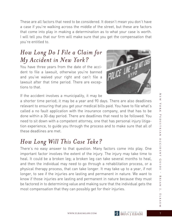These are all factors that need to be considered. It doesn't mean you don't have a case if you're walking across the middle of the street, but these are factors that come into play in making a determination as to what your case is worth. I will tell you that our firm will make sure that you get the compensation that you're entitled to.

### *How Long Do I File a Claim for My Accident in New York?*

You have three years from the date of the accident to file a lawsuit, otherwise you're banned and you've waived your right and can't file a lawsuit after that time period. There are exceptions to that.



If the accident involves a municipality, it may be

a shorter time period; it may be a year and 90 days. There are also deadlines relevant to ensuring that you get your medical bills paid. You have to file what's called a no fault application with the insurance company, and that has to be done within a 30-day period. There are deadlines that need to be followed. You need to sit down with a competent attorney, one that has personal injury litigation experience, to guide you through the process and to make sure that all of these deadlines are met.

### *How Long Will This Case Take?*

There's no easy answer to that question. Many factors come into play. One important factor involves the extent of the injury. The injury may take time to heal. It could be a broken leg; a broken leg can take several months to heal, and then the individual may need to go through a rehabilitation process, or a physical therapy process, that can take longer. It may take up to a year, if not longer, to see if the injuries are lasting and permanent in nature. We want to know if those injuries are lasting and permanent in nature because they must be factored in to determining value and making sure that the individual gets the most compensation that they can possibly get for their injuries.

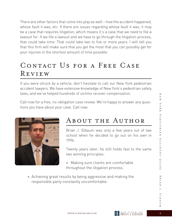There are other factors that come into play as well – how the accident happened, whose fault it was, etc. If there are issues regarding whose fault it was, it may be a case that requires litigation, which means it's a case that we need to file a lawsuit for. If we file a lawsuit and we have to go through the litigation process, that could take time. That could take two to five or more years. I will tell you that this firm will make sure that you get the most that you can possibly get for your injuries in the shortest amount of time possible.

# CONTACT US FOR A FREE CASE Review

If you were struck by a vehicle, don't hesitate to call our New York pedestrian accident lawyers. We have extensive knowledge of New York's pedestrian safety laws, and we've helped hundreds of victims recover compensation.

Call now for a free, no-obligation case review. We're happy to answer any questions you have about your case. Call now.



# About the Author

Brian J. Elbaum was only a few years out of law school when he decided to go out on his own in 1996.

Twenty years later, he still holds fast to the same two winning principles:

- » Making sure clients are comfortable throughout the litigation process.
- » Achieving great results by being aggressive and making the responsible party constantly uncomfortable.



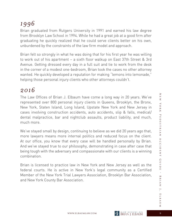## *1996*

Brian graduated from Rutgers University in 1991 and earned his law degree from Brooklyn Law School in 1994. While he had a great job at a good firm after graduating he quickly realized that he could serve clients better on his own, unburdened by the constraints of the law firm model and approach.

Brian felt so strongly in what he was doing that for his first year he was willing to work out of his apartment – a sixth floor walkup on East 37th Street & 3rd Avenue. Getting dressed every day in a full suit and tie to work from the desk in the corner of a modest one-bedroom, Brian took the cases no other attorney wanted. He quickly developed a reputation for making "lemons into lemonade," helping those personal injury clients who other attorneys couldn't.

#### *2016*

The Law Offices of Brian J. Elbaum have come a long way in 20 years. We've represented over 800 personal injury clients in Queens, Brooklyn, the Bronx, New York, Staten Island, Long Island, Upstate New York and New Jersey in cases involving construction accidents, auto accidents, slip & falls, medical/ dental malpractice, bar and nightclub assaults, product liability, and much, much more.

We've stayed small by design, continuing to believe as we did 20 years ago that, more lawyers means more internal politics and reduced focus on the client. At our office, you know that every case will be handled personally by Brian. And we've stayed true to our philosophy, demonstrating in case after case that being tough with the adversary and compassionate with our clients is a winning combination.

Brian is licensed to practice law in New York and New Jersey as well as the federal courts. He is active in New York's legal community as a Certified Member of the New York Trial Lawyers Association, Brooklyn Bar Association, and New York County Bar Association.

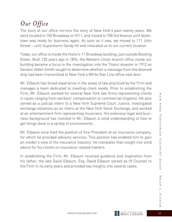#### *Our Office*

The story of our office mirrors the story of New York's past twenty years. We were located in 150 Broadway on 9/11, and moved to 708 3rd Avenue until downtown was ready for business again. As soon as it was, we moved to 111 John Street – until Superstorm Sandy hit and relocated us to our current location.

Today, our office is inside the historic 11 Broadway building, just outside Bowling Green. Built 120 years ago in 1896, the Western Union branch office inside our building became a focus in the investigation into the Titanic disaster in 1912 as Senator Alden Smith sought to determine whether a message from the doomed ship had been transmitted to New York's White Star Line office next door.

Mr. Elbaum has broad experience in the areas of law practiced by the Firm and manages a team dedicated to meeting client needs. Prior to establishing the Firm, Mr. Elbaum worked for several New York law firms representing clients in cases ranging from workers' compensation to commercial litigation. He also served as a judicial intern to a New York Supreme Court Justice, investigated exchange violations as an intern at the New York Stock Exchange, and worked at an entertainment firm representing musicians. His extensive legal and business background has instilled in Mr. Elbaum a solid understanding of how to get things done in a variety of environments.

Mr. Elbaum once held the position of Vice President at an insurance company, for which he provided advisory services. This position has enabled him to gain an insider's view of the insurance industry. He translates that insight into solid advice for his clients on insurance-related matters.

In establishing the Firm, Mr. Elbaum received guidance and inspiration from his father, the late David Elbaum, Esq. David Elbaum served as Of Counsel to the Firm in its early years and provided key insights into several cases.